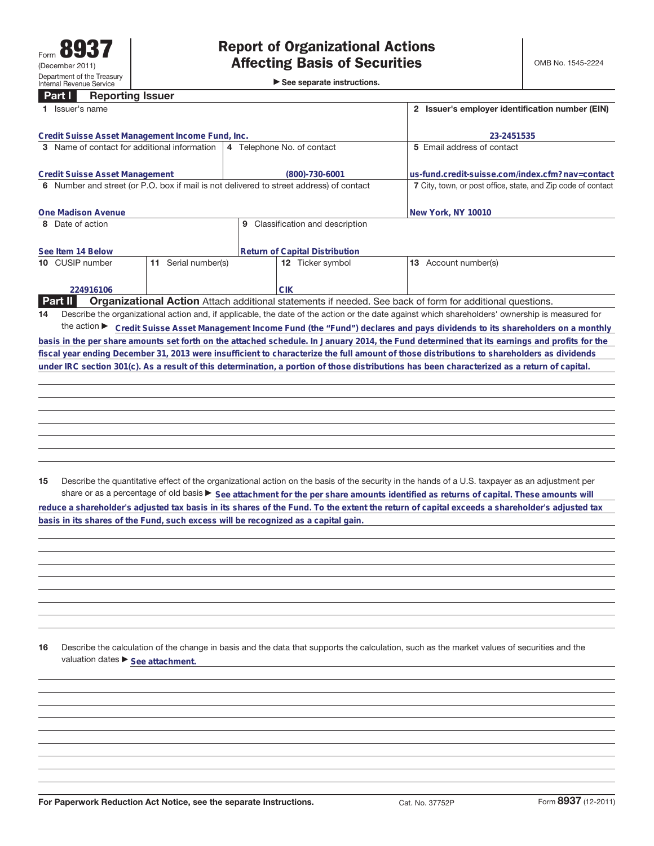►<br>► See separate instructions.

## **Part I Reporting Issuer**

| Issuer's name                                                                           | 2 Issuer's employer identification number (EIN)              |                                                                                                                                                 |  |  |
|-----------------------------------------------------------------------------------------|--------------------------------------------------------------|-------------------------------------------------------------------------------------------------------------------------------------------------|--|--|
| Credit Suisse Asset Management Income Fund, Inc.                                        | 23-2451535                                                   |                                                                                                                                                 |  |  |
| 3 Name of contact for additional information                                            | 4 Telephone No. of contact                                   | 5 Email address of contact                                                                                                                      |  |  |
| Credit Suisse Asset Management                                                          | $(800) - 730 - 6001$                                         | us-fund.credit-suisse.com/index.cfm?nay=contact                                                                                                 |  |  |
| 6 Number and street (or P.O. box if mail is not delivered to street address) of contact | 7 City, town, or post office, state, and Zip code of contact |                                                                                                                                                 |  |  |
| One Madison Avenue                                                                      |                                                              | New York, NY 10010                                                                                                                              |  |  |
| 8 Date of action                                                                        | Classification and description<br>9                          |                                                                                                                                                 |  |  |
| See Item 14 Below                                                                       | Return of Capital Distribution                               |                                                                                                                                                 |  |  |
| 11 Serial number(s)<br>10 CUSIP number                                                  | 12 Ticker symbol                                             | Account number(s)<br>13                                                                                                                         |  |  |
| 224916106                                                                               | <b>CIK</b>                                                   |                                                                                                                                                 |  |  |
| Part II                                                                                 |                                                              | <b>Organizational Action</b> Attach additional statements if needed. See back of form for additional questions.                                 |  |  |
| 14                                                                                      |                                                              | Describe the organizational action and, if applicable, the date of the action or the date against which shareholders' ownership is measured for |  |  |
| the action $\blacktriangleright$                                                        |                                                              | Credit Suisse Asset Management Income Fund (the "Fund") declares and pays dividends to its shareholders on a monthly                            |  |  |
|                                                                                         |                                                              | basis in the per share amounts set forth on the attached schedule. In January 2014, the Fund determined that its earnings and profits for the   |  |  |
|                                                                                         |                                                              | fiscal year ending December 31, 2013 were insufficient to characterize the full amount of those distributions to shareholders as dividends      |  |  |
|                                                                                         |                                                              | under IRC section 301(c). As a result of this determination, a portion of those distributions has been characterized as a return of capital.    |  |  |
|                                                                                         |                                                              |                                                                                                                                                 |  |  |

**15** Describe the quantitative effect of the organizational action on the basis of the security in the hands of a U.S. taxpayer as an adjustment per share or as a percentage of old basis  $\blacktriangleright$  See attachment for the per share amounts identified as returns of capital. These amounts will **reduce a shareholder's adjusted tax basis in its shares of the Fund. To the extent the return of capital exceeds a shareholder's adjusted tax basis in its shares of the Fund, such excess will be recognized as a capital gain.**

**16** Describe the calculation of the change in basis and the data that supports the calculation, such as the market values of securities and the valuation dates  $\blacktriangleright$  **See attachment.**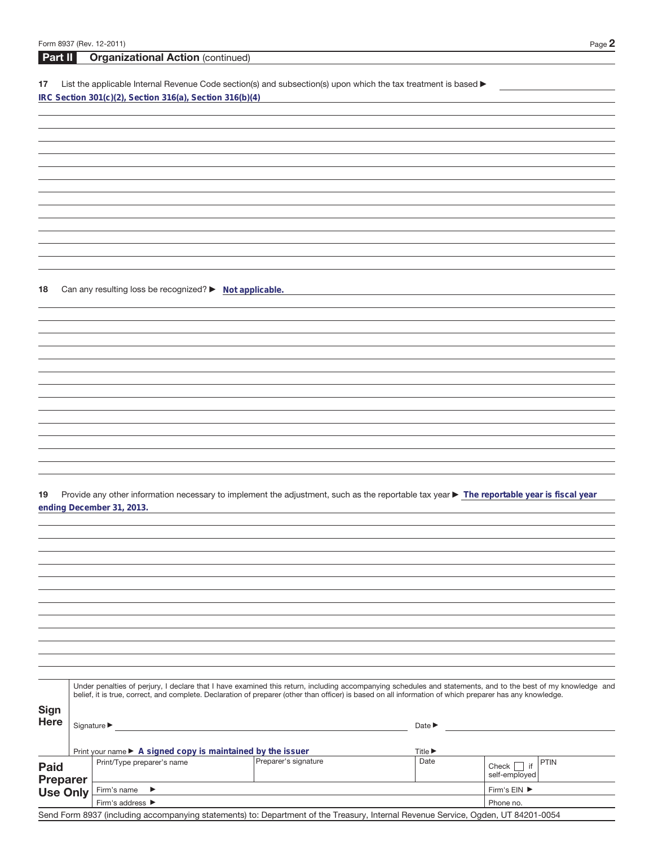| Part II     | <b>Organizational Action (continued)</b>                                                                                                                                                                                                                                                                                 |
|-------------|--------------------------------------------------------------------------------------------------------------------------------------------------------------------------------------------------------------------------------------------------------------------------------------------------------------------------|
|             |                                                                                                                                                                                                                                                                                                                          |
| 17          | List the applicable Internal Revenue Code section(s) and subsection(s) upon which the tax treatment is based ▶                                                                                                                                                                                                           |
|             | IRC Section 301(c)(2), Section 316(a), Section 316(b)(4)                                                                                                                                                                                                                                                                 |
|             |                                                                                                                                                                                                                                                                                                                          |
|             |                                                                                                                                                                                                                                                                                                                          |
|             |                                                                                                                                                                                                                                                                                                                          |
|             |                                                                                                                                                                                                                                                                                                                          |
|             |                                                                                                                                                                                                                                                                                                                          |
|             |                                                                                                                                                                                                                                                                                                                          |
|             |                                                                                                                                                                                                                                                                                                                          |
|             |                                                                                                                                                                                                                                                                                                                          |
|             |                                                                                                                                                                                                                                                                                                                          |
|             |                                                                                                                                                                                                                                                                                                                          |
|             |                                                                                                                                                                                                                                                                                                                          |
|             |                                                                                                                                                                                                                                                                                                                          |
|             |                                                                                                                                                                                                                                                                                                                          |
|             |                                                                                                                                                                                                                                                                                                                          |
|             |                                                                                                                                                                                                                                                                                                                          |
| 18          | Can any resulting loss be recognized? ▶ Not applicable.                                                                                                                                                                                                                                                                  |
|             |                                                                                                                                                                                                                                                                                                                          |
|             |                                                                                                                                                                                                                                                                                                                          |
|             |                                                                                                                                                                                                                                                                                                                          |
|             |                                                                                                                                                                                                                                                                                                                          |
|             |                                                                                                                                                                                                                                                                                                                          |
|             |                                                                                                                                                                                                                                                                                                                          |
|             |                                                                                                                                                                                                                                                                                                                          |
|             |                                                                                                                                                                                                                                                                                                                          |
|             |                                                                                                                                                                                                                                                                                                                          |
|             |                                                                                                                                                                                                                                                                                                                          |
|             |                                                                                                                                                                                                                                                                                                                          |
|             |                                                                                                                                                                                                                                                                                                                          |
|             |                                                                                                                                                                                                                                                                                                                          |
|             |                                                                                                                                                                                                                                                                                                                          |
|             |                                                                                                                                                                                                                                                                                                                          |
| 19          | Provide any other information necessary to implement the adjustment, such as the reportable tax year > The reportable year is fiscal year                                                                                                                                                                                |
|             | ending December 31, 2013.                                                                                                                                                                                                                                                                                                |
|             |                                                                                                                                                                                                                                                                                                                          |
|             |                                                                                                                                                                                                                                                                                                                          |
|             |                                                                                                                                                                                                                                                                                                                          |
|             |                                                                                                                                                                                                                                                                                                                          |
|             |                                                                                                                                                                                                                                                                                                                          |
|             |                                                                                                                                                                                                                                                                                                                          |
|             |                                                                                                                                                                                                                                                                                                                          |
|             |                                                                                                                                                                                                                                                                                                                          |
|             |                                                                                                                                                                                                                                                                                                                          |
|             |                                                                                                                                                                                                                                                                                                                          |
|             |                                                                                                                                                                                                                                                                                                                          |
|             |                                                                                                                                                                                                                                                                                                                          |
|             |                                                                                                                                                                                                                                                                                                                          |
|             |                                                                                                                                                                                                                                                                                                                          |
|             | Under penalties of perjury, I declare that I have examined this return, including accompanying schedules and statements, and to the best of my knowledge and<br>belief, it is true, correct, and complete. Declaration of preparer (other than officer) is based on all information of which preparer has any knowledge. |
|             |                                                                                                                                                                                                                                                                                                                          |
| <b>Sign</b> |                                                                                                                                                                                                                                                                                                                          |

| Here                           | Signature $\blacktriangleright$                                                 | Date $\blacktriangleright$<br>Title $\blacktriangleright$                                                                         |           |                                         |
|--------------------------------|---------------------------------------------------------------------------------|-----------------------------------------------------------------------------------------------------------------------------------|-----------|-----------------------------------------|
|                                | Print your name $\blacktriangleright$ A signed copy is maintained by the issuer |                                                                                                                                   |           |                                         |
| <b>Paid</b><br><b>Preparer</b> | Print/Type preparer's name                                                      | Preparer's signature                                                                                                              | Date      | <b>PTIN</b><br>Check  <br>self-employed |
| <b>Use Only</b>                | Firm's name $\blacktriangleright$                                               | Firm's $EIN$ $\blacktriangleright$                                                                                                |           |                                         |
|                                | Firm's address $\blacktriangleright$                                            |                                                                                                                                   | Phone no. |                                         |
|                                |                                                                                 | Send Form 8937 (including accompanying statements) to: Department of the Treasury, Internal Revenue Service, Ogden, UT 84201-0054 |           |                                         |
|                                |                                                                                 |                                                                                                                                   |           |                                         |